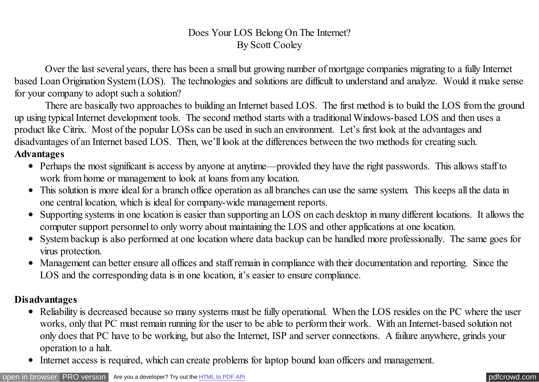## Does Your LOS Belong On The Internet? By Scott Cooley

Over the last several years, there has been a small but growing number of mortgage companies migrating to a fully Internet based Loan Origination System (LOS). The technologies and solutions are difficult to understand and analyze. Would it make sense for your company to adopt such a solution?

There are basically two approaches to building an Internet based LOS. The first method is to build the LOS from the ground up using typical Internet development tools. The second method starts with a traditional Windows-based LOS and then uses a product like Citrix. Most of the popular LOSs can be used in such an environment. Let's first look at the advantages and disadvantages of an Internet based LOS. Then, we'll look at the differences between the two methods for creating such. **Advantages**

- Perhaps the most significant is access by anyone at anytime—provided they have the right passwords. This allows staff to work from home or management to look at loans from any location.
- This solution is more ideal for a branch office operation as all branches can use the same system. This keeps all the data in one central location, which is ideal for company-wide management reports.
- Supporting systems in one location is easier than supporting an LOS on each desktop in many different locations. It allows the computer support personnel to only worry about maintaining the LOS and other applications at one location.
- System backup is also performed at one location where data backup can be handled more professionally. The same goes for virus protection.
- Management can better ensure all offices and staff remain in compliance with their documentation and reporting. Since the LOS and the corresponding data is in one location, it's easier to ensure compliance.

## **Disadvantages**

- Reliability is decreased because so many systems must be fully operational. When the LOS resides on the PC where the user works, only that PC must remain running for the user to be able to perform their work. With an Internet-based solution not only does that PC have to be working, but also the Internet, ISP and server connections. A failure anywhere, grinds your operation to a halt.
- Internet access is required, which can create problems for laptop bound loan officers and management.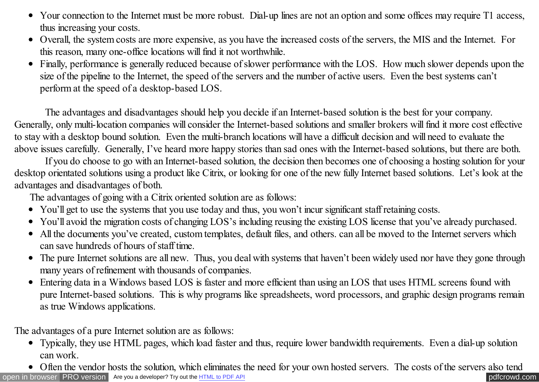- Your connection to the Internet must be more robust. Dial-up lines are not an option and some offices may require T1 access, thus increasing your costs.
- Overall, the system costs are more expensive, as you have the increased costs of the servers, the MIS and the Internet. For this reason, many one-office locations will find it not worthwhile.
- Finally, performance is generally reduced because of slower performance with the LOS. How much slower depends upon the size of the pipeline to the Internet, the speed of the servers and the number of active users. Even the best systems can't perform at the speed of a desktop-based LOS.

The advantages and disadvantages should help you decide if an Internet-based solution is the best for your company. Generally, only multi-location companies will consider the Internet-based solutions and smaller brokers will find it more cost effective to stay with a desktop bound solution. Even the multi-branch locations will have a difficult decision and will need to evaluate the above issues carefully. Generally, I've heard more happy stories than sad ones with the Internet-based solutions, but there are both.

If you do choose to go with an Internet-based solution, the decision then becomes one of choosing a hosting solution for your desktop orientated solutions using a product like Citrix, or looking for one of the new fully Internet based solutions. Let's look at the advantages and disadvantages of both.

The advantages of going with a Citrix oriented solution are as follows:

- You'll get to use the systems that you use today and thus, you won't incur significant staff retaining costs.
- You'll avoid the migration costs of changing LOS's including reusing the existing LOS license that you've already purchased.
- All the documents you've created, custom templates, default files, and others. can all be moved to the Internet servers which can save hundreds of hours of staff time.
- The pure Internet solutions are all new. Thus, you deal with systems that haven't been widely used nor have they gone through many years of refinement with thousands of companies.
- Entering data in a Windows based LOS is faster and more efficient than using an LOS that uses HTML screens found with pure Internet-based solutions. This is why programs like spreadsheets, word processors, and graphic design programs remain as true Windows applications.

The advantages of a pure Internet solution are as follows:

- Typically, they use HTML pages, which load faster and thus, require lower bandwidth requirements. Even a dial-up solution can work.
- [open in browser](http://pdfcrowd.com/redirect/?url=http%3a%2f%2fscooley.com%2fmom40.htm&id=ma-140810162923-59dc2a8a) [PRO version](http://pdfcrowd.com/customize/) Are you a developer? Try out th[e HTML to PDF API](http://pdfcrowd.com/html-to-pdf-api/?ref=pdf) performance of the Area and the Area posterior of the Area posterior of the Area posterior of the Area posterior of the Area posterior of the Are • Often the vendor hosts the solution, which eliminates the need for your own hosted servers. The costs of the servers also tend